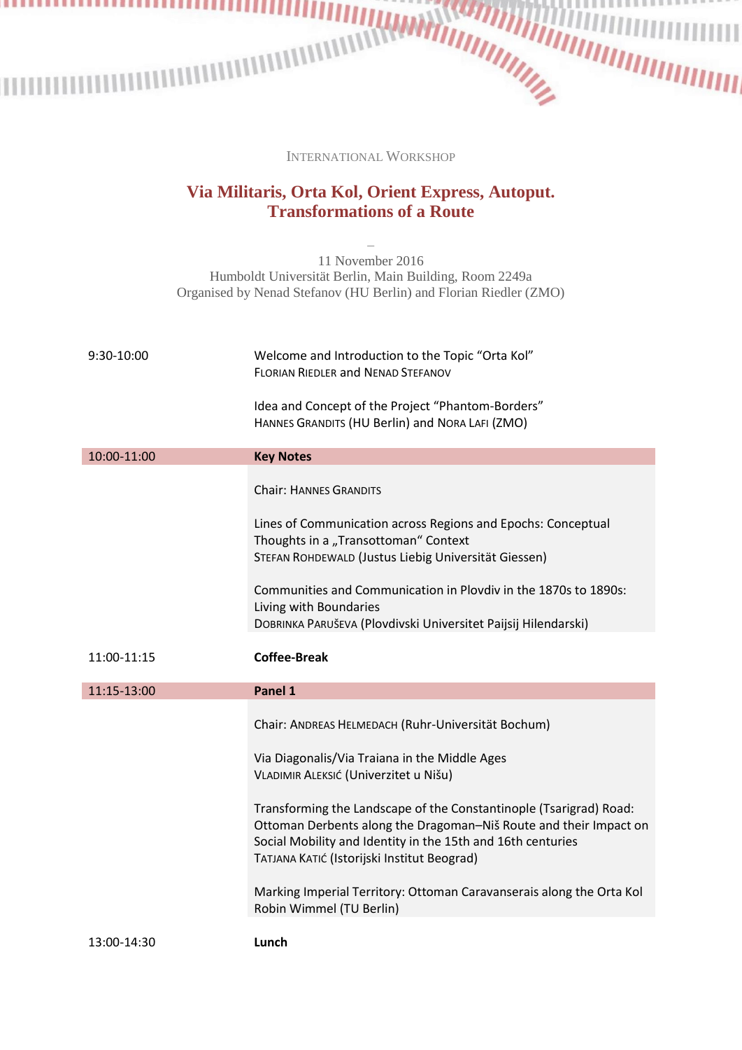INTERNATIONAL WORKSHOP

## **Via Militaris, Orta Kol, Orient Express, Autoput. Transformations of a Route**

‒ 11 November 2016 Humboldt Universität Berlin, Main Building, Room 2249a Organised by Nenad Stefanov (HU Berlin) and Florian Riedler (ZMO)

| 9:30-10:00  | Welcome and Introduction to the Topic "Orta Kol"<br><b>FLORIAN RIEDLER and NENAD STEFANOV</b><br>Idea and Concept of the Project "Phantom-Borders"<br>HANNES GRANDITS (HU Berlin) and NORA LAFI (ZMO)                                                                                                                                                                                                                                                                                                     |
|-------------|-----------------------------------------------------------------------------------------------------------------------------------------------------------------------------------------------------------------------------------------------------------------------------------------------------------------------------------------------------------------------------------------------------------------------------------------------------------------------------------------------------------|
| 10:00-11:00 | <b>Key Notes</b>                                                                                                                                                                                                                                                                                                                                                                                                                                                                                          |
|             | <b>Chair: HANNES GRANDITS</b><br>Lines of Communication across Regions and Epochs: Conceptual<br>Thoughts in a "Transottoman" Context<br>STEFAN ROHDEWALD (Justus Liebig Universität Giessen)<br>Communities and Communication in Plovdiv in the 1870s to 1890s:<br>Living with Boundaries<br>DOBRINKA PARUŠEVA (Plovdivski Universitet Paijsij Hilendarski)                                                                                                                                              |
|             |                                                                                                                                                                                                                                                                                                                                                                                                                                                                                                           |
| 11:00-11:15 | <b>Coffee-Break</b>                                                                                                                                                                                                                                                                                                                                                                                                                                                                                       |
| 11:15-13:00 | Panel 1                                                                                                                                                                                                                                                                                                                                                                                                                                                                                                   |
|             | Chair: ANDREAS HELMEDACH (Ruhr-Universität Bochum)<br>Via Diagonalis/Via Traiana in the Middle Ages<br>VLADIMIR ALEKSIĆ (Univerzitet u Nišu)<br>Transforming the Landscape of the Constantinople (Tsarigrad) Road:<br>Ottoman Derbents along the Dragoman-Niš Route and their Impact on<br>Social Mobility and Identity in the 15th and 16th centuries<br>TATJANA KATIĆ (Istorijski Institut Beograd)<br>Marking Imperial Territory: Ottoman Caravanserais along the Orta Kol<br>Robin Wimmel (TU Berlin) |